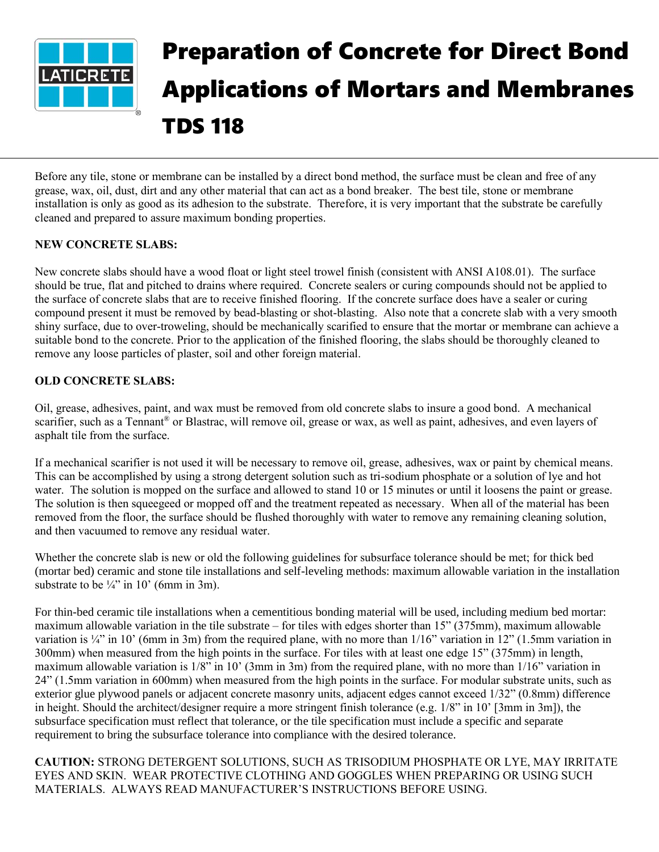

## Preparation of Concrete for Direct Bond Applications of Mortars and Membranes TDS 118

Before any tile, stone or membrane can be installed by a direct bond method, the surface must be clean and free of any grease, wax, oil, dust, dirt and any other material that can act as a bond breaker. The best tile, stone or membrane installation is only as good as its adhesion to the substrate. Therefore, it is very important that the substrate be carefully cleaned and prepared to assure maximum bonding properties.

## **NEW CONCRETE SLABS:**

New concrete slabs should have a wood float or light steel trowel finish (consistent with ANSI A108.01). The surface should be true, flat and pitched to drains where required. Concrete sealers or curing compounds should not be applied to the surface of concrete slabs that are to receive finished flooring. If the concrete surface does have a sealer or curing compound present it must be removed by bead-blasting or shot-blasting. Also note that a concrete slab with a very smooth shiny surface, due to over-troweling, should be mechanically scarified to ensure that the mortar or membrane can achieve a suitable bond to the concrete. Prior to the application of the finished flooring, the slabs should be thoroughly cleaned to remove any loose particles of plaster, soil and other foreign material.

## **OLD CONCRETE SLABS:**

Oil, grease, adhesives, paint, and wax must be removed from old concrete slabs to insure a good bond. A mechanical scarifier, such as a Tennant<sup>®</sup> or Blastrac, will remove oil, grease or wax, as well as paint, adhesives, and even layers of asphalt tile from the surface.

If a mechanical scarifier is not used it will be necessary to remove oil, grease, adhesives, wax or paint by chemical means. This can be accomplished by using a strong detergent solution such as tri-sodium phosphate or a solution of lye and hot water. The solution is mopped on the surface and allowed to stand 10 or 15 minutes or until it loosens the paint or grease. The solution is then squeegeed or mopped off and the treatment repeated as necessary. When all of the material has been removed from the floor, the surface should be flushed thoroughly with water to remove any remaining cleaning solution, and then vacuumed to remove any residual water.

Whether the concrete slab is new or old the following guidelines for subsurface tolerance should be met; for thick bed (mortar bed) ceramic and stone tile installations and self-leveling methods: maximum allowable variation in the installation substrate to be  $\frac{1}{4}$ " in 10' (6mm in 3m).

For thin-bed ceramic tile installations when a cementitious bonding material will be used, including medium bed mortar: maximum allowable variation in the tile substrate – for tiles with edges shorter than 15" (375mm), maximum allowable variation is ¼" in 10' (6mm in 3m) from the required plane, with no more than  $1/16$ " variation in 12" (1.5mm variation in 300mm) when measured from the high points in the surface. For tiles with at least one edge 15" (375mm) in length, maximum allowable variation is 1/8" in 10' (3mm in 3m) from the required plane, with no more than 1/16" variation in 24" (1.5mm variation in 600mm) when measured from the high points in the surface. For modular substrate units, such as exterior glue plywood panels or adjacent concrete masonry units, adjacent edges cannot exceed 1/32" (0.8mm) difference in height. Should the architect/designer require a more stringent finish tolerance (e.g. 1/8" in 10' [3mm in 3m]), the subsurface specification must reflect that tolerance, or the tile specification must include a specific and separate requirement to bring the subsurface tolerance into compliance with the desired tolerance.

**CAUTION:** STRONG DETERGENT SOLUTIONS, SUCH AS TRISODIUM PHOSPHATE OR LYE, MAY IRRITATE EYES AND SKIN. WEAR PROTECTIVE CLOTHING AND GOGGLES WHEN PREPARING OR USING SUCH MATERIALS. ALWAYS READ MANUFACTURER'S INSTRUCTIONS BEFORE USING.